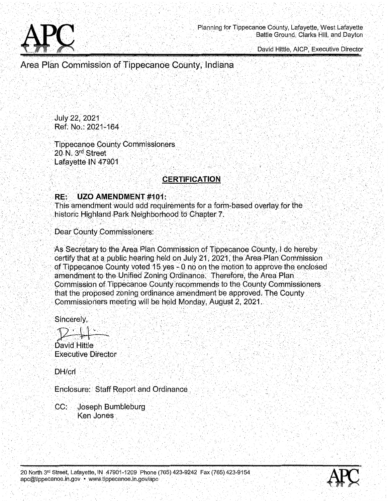

David Hittle, AICP, Executive Director

Area Plan Commission of Tippecanoe County, Indiana

**July 22, 2021** Ref. No.: 2021-164

**Tippecanoe County Commissioners** 20 N. 3rd Street Lafayette IN 47901

# **CERTIFICATION**

#### RE: **UZO AMENDMENT #101:**

This amendment would add requirements for a form-based overlay for the historic Highland Park Neighborhood to Chapter 7.

**Dear County Commissioners:** 

As Secretary to the Area Plan Commission of Tippecanoe County, I do hereby certify that at a public hearing held on July 21, 2021, the Area Plan Commission of Tippecanoe County voted 15 yes - 0 no on the motion to approve the enclosed amendment to the Unified Zoning Ordinance. Therefore, the Area Plan Commission of Tippecanoe County recommends to the County Commissioners that the proposed zoning ordinance amendment be approved. The County Commissioners meeting will be held Monday, August 2, 2021.

Sincerely,

David Hittle **Executive Director** 

DH/crl

Enclosure: Staff Report and Ordinance

 $CC:$ Joseph Bumbleburg Ken Jones

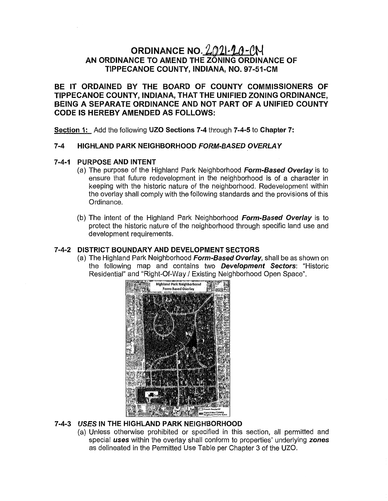# ORDINANCE NO.  $2021 - 10 - 01$ AN ORDINANCE TO AMEND THE **ZONING** ORDINANCE OF **TIPPECANOE COUNTY, INDIANA,** NO. 97-51-CM

BE IT ORDAINED BY THE BOARD OF **COUNTY** COMMISSIONERS OF **TIPPECANOE COUNTY, INDIANA,** THAT THE UNIFIED ZONING **ORDINANCE,**  BEING A SEPARATE ORDINANCE AND NOT PART OF A UNIFIED **COUNTY**  CODE IS HEREBY AMENDED AS FOLLOWS:

**Section** 1: Add the following UZO **Sections** 7-4 through **7-4-5** to **Chapter** 7:

#### 7-4 HIGHLAND **PARK NEIGHBORHOOD** *FORM-BASED 'OVERLAY*

#### 7- 4- 1 **PURPOSE** AND INTENT

- (a) The purpose of the Highland Park **Neighborhood** *Form-Based Overlay'* Is to ensure that future redevelopment in the neighborhood is of a character in keeping with the **historic** nature of the neighborhood. Redevelopment within the overlay shall comply with the following **standards** and the provisions of this Ordinance.
- (b) The intent of the Highland Park Neighborhood *Form-Based Overlay* is to protect the **historic** nature of the neighborhood through **specific** land use and development requirements.

#### **7-4-2 DISTRICT** BOUNDARY AND DEVELOPMENT **SECTORS**

(a) The Highland Park Neighborhood *Form-Based Overlay,* shall be as shown on the following map and contains two *Development Sectors.* **"Historic Residential"** and "Right-Of—Way/ Existing Neighborhood **Open** Space".



### **7-4-3** *USES* IN THE HIGHLAND PARK NEIGHBORHOOD

(a) Unless otherwise prohibited or specified in this section, all permitted and special *uses* within the overlay shall conform to **properties'** underlying *zones*  as delineated in the Permitted Use Table per Chapter 3 of the U20.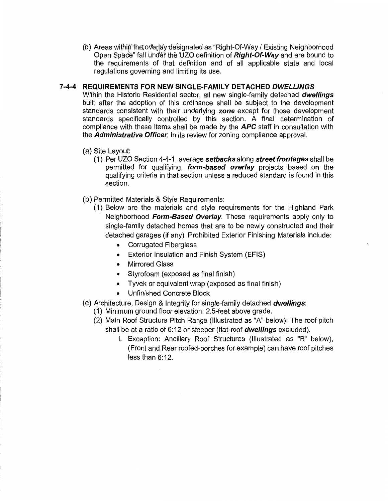(b) Areas withi the **oV'erl'dy** designated as **"Right-** *Of~Wayl* Existing Neighborhood Open Spa 6" fall **undé'f'** thé UZO **definition** of *Right-Of-Way* and are bound to the requirements of **that** definition and of all applicable state and local regulations governing and limiting its use.

#### **7-4-4**  REQUIREMENTS FOR NEW SINGLE-FAMILY DETACHED *DWELLINGS*

Within the **Historic** Residential sector, all new single-family detached *dwellings*  built **after** the adoption of **this** ordinance shall be subject to the development **standards consistent** with **their** underlying *zone* except for **those** development standards specifically controlled by **this section.** A final determination of compliance with these **items** shall be made by the APC **staff** in consultation with the *Administrative Officer,* in its **review** for zoning compliance approval.

- (a) **Site** Layout:
	- (1) Per UZO **Section 4-4-1,** average *setbacks* along *street frontages* shall be **permitted** for qualifying, *form-based overlay* **projects** based on the qualifying criteria in **that section unless** a reduced standard is found in **this section.**
- (b) Permitted Materials & Style Requirements:
	- (1) Below are the materials and style requirements for the Highland Park Neighborhood *Form-Based Overlay.* **These requirements** apply only to single-family detached homes **that** are to be newly constructed and their detached **garages** (if any). **Prohibited** Exterior Finishing Materials include:
		- **•** Corrugated Fiberglass
		- **0** Exterior Insulation and Finish **System** (EFIS)
		- **<sup>o</sup>**Mirrored **Glass**
		- *.* Styrofoam (exposed as **final** finish)
		- **0** Tyvek or equivalent wrap (exposed as **final** finish)
		- **.** Unfinished Concrete Block
- (0) Architecture, Design & Integrity for single-family detached *dwellings:* 
	- (1) Minimum ground floor elevation: 2.5-feet above grade.
	- (2) Main Roof Structure **Pitch** Range (Illustrated as "A" below): The roof pitch shall be at a **ratio** of 6:12 or steeper (flat—roof *dwellings* excluded).
		- i. Exception: Ancillary Roof Structures (Illustrated as "B" below), (Front and Rear roofed-porches for example) can have roof **pitches less than 6:12.**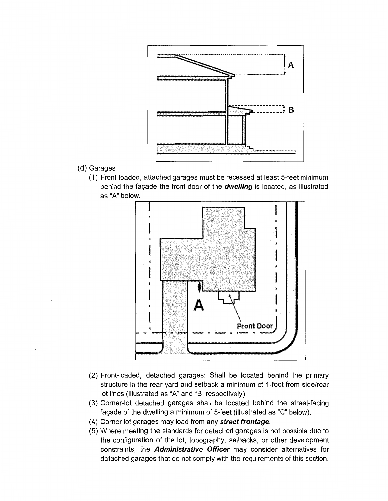

- (d) Garages
	- (1) **Front-loaded,** attached garages **must** be recessed at least **5-feet** minimum behind the facade the **front** door of the *dwelling* is **located,** as illustrated as "A" below.



- (2) **Front-loaded,** detached garages: Sha|| be located behind the **primary structure** in the rear **yard** and setback a minimum of 1-foot from side/rear lot lines (illustrated as "A" and "B" respectively).
- (3) Corner-lot **detached** garages shall be located behind the street-facing facade of the dwelling a minimum of 5-feet (illustrated as "C" below).
- (4) Corner lot **garages** may load from any *street frontage.*
- (5) Where meeting the **standards** for detached garages is not **possible** due to the configuration of the lot, topography, setbacks, or other development constraints, the *Administrative Officer* may consider alternatives for detached garages **that** do not comply with the requirements of **this** section.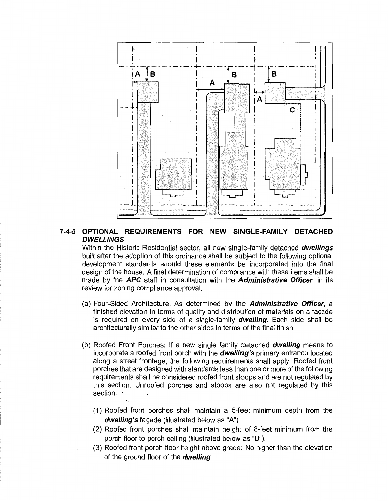

### **7-4-5 OPTIONAL** REQUIREMENTS FOR NEW SINGLE-FAMILY DETACHED *DWELLINGS*

Within the Historic Residential **sector,** all new single-family detached *dwellings*  built **after** the **adoption** of this ordinance shall be **subject** to the following optional development **standards should** these elements be incorporated into the final design of the house. A **final** determination of compliance with **these items** shall be made by the APC staff in consultation with the *Administrative Officer,* in its review for zoning compliance approval.

- (a) **Four-Sided** Architecture: As determined by the *Administrative Officer,* <sup>a</sup> **finished** elevation in **terms** of **quality** and distribution of materials on a facade is' required on every side of a single-family *dwelling.* Each **side** shall be architecturally **similar** to the other **sides** in **terms** of the final finish.
- (b) Roofed Front Porches: if a new single family detached *dwelling* means to incorporate a roofed front porch with the *dwelling's* primary entrance located along a **street frontage,** the following requirements shall apply. Roofed **front**  porches **that** are designed with **standards less** than one or more of the following requirements shall be considered roofed **front stoops** and are not regulated by this section. Unroofed porches and stoops are also not regulated by this section. **'** 
	- (1) Roofed front porches shall maintain a 5-feet minimum **depth** from the *dwelling's* fagade (illustrated below as **"A")**
	- (2) Roofed front porches shall maintain height of 8-feet minimum from the **porch** floor to **porch** ceiling (itlustrated below as "B").
	- (3) Roofed front porch floor height above grade: No higher **than** the elevation of the ground floor of the *dwelling.*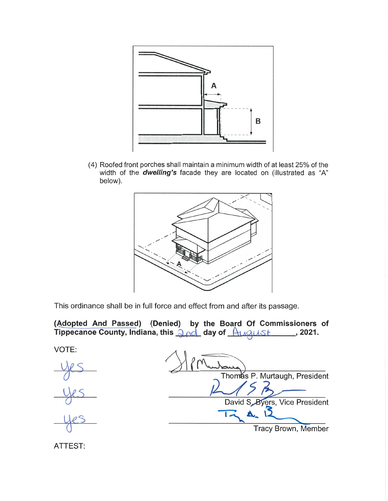

(4) Roofed front **porches** shall maintain a minimum width of at least 25% of the width of the *dwelling's* facade they are located on (illustrated as "A" below).



This ordinance shall be in full force and effect from and after its passage.

**(Adopted** And **Passed) (Denied) b** the Board Of **Commissioners** of **Tippecanoe County, Indiana, this and day of August 10.2021.** 

VOTE:



Thomas P. Murtaugh, President David S, Byers, Vice President (1) **w A** is a series of the set of the set of the set of the set of the set of the set of the set of the set of the set of the set of the set of the set of the set of the set of the set of E ; Tracy **Brown,** Member

ATTEST: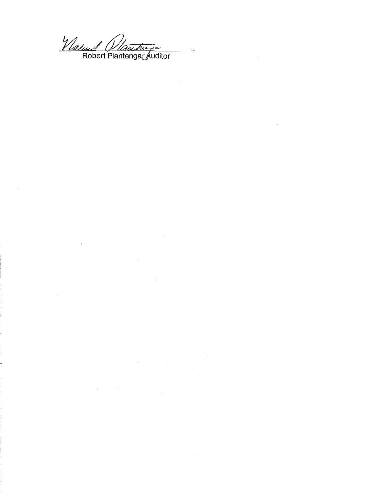Vlatur Vlantwer